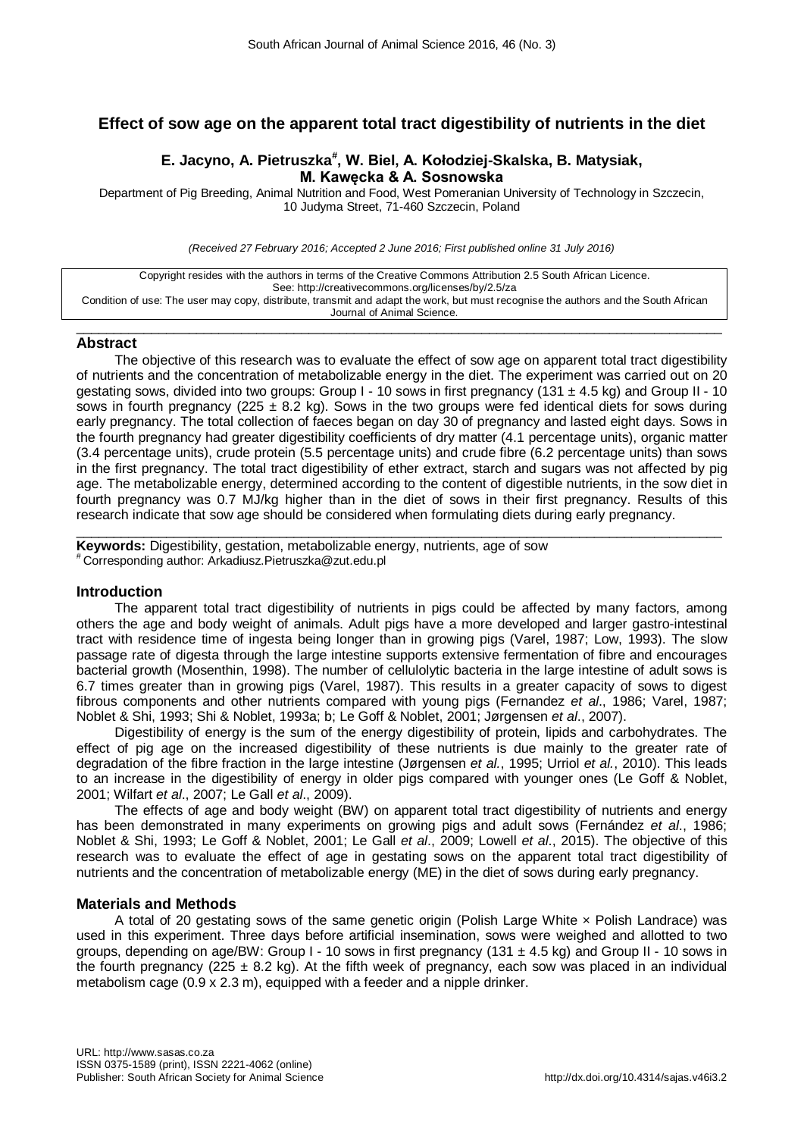# **Effect of sow age on the apparent total tract digestibility of nutrients in the diet**

## **E. Jacyno, A. Pietruszka# , W. Biel, A. Kołodziej-Skalska, B. Matysiak, M. Kawęcka & A. Sosnowska**

Department of Pig Breeding, Animal Nutrition and Food, West Pomeranian University of Technology in Szczecin, 10 Judyma Street, 71-460 Szczecin, Poland

*(Received 27 February 2016; Accepted 2 June 2016; First published online 31 July 2016)*

| Copyright resides with the authors in terms of the Creative Commons Attribution 2.5 South African Licence.                         |
|------------------------------------------------------------------------------------------------------------------------------------|
|                                                                                                                                    |
| See: http://creativecommons.org/licenses/by/2.5/za                                                                                 |
| Condition of use: The user may copy, distribute, transmit and adapt the work, but must recognise the authors and the South African |
| Journal of Animal Science.                                                                                                         |

 $\_$  , and the set of the set of the set of the set of the set of the set of the set of the set of the set of the set of the set of the set of the set of the set of the set of the set of the set of the set of the set of th

## **Abstract**

The objective of this research was to evaluate the effect of sow age on apparent total tract digestibility of nutrients and the concentration of metabolizable energy in the diet. The experiment was carried out on 20 gestating sows, divided into two groups: Group I - 10 sows in first pregnancy (131  $\pm$  4.5 kg) and Group II - 10 sows in fourth pregnancy (225  $\pm$  8.2 kg). Sows in the two groups were fed identical diets for sows during early pregnancy. The total collection of faeces began on day 30 of pregnancy and lasted eight days. Sows in the fourth pregnancy had greater digestibility coefficients of dry matter (4.1 percentage units), organic matter (3.4 percentage units), crude protein (5.5 percentage units) and crude fibre (6.2 percentage units) than sows in the first pregnancy. The total tract digestibility of ether extract, starch and sugars was not affected by pig age. The metabolizable energy, determined according to the content of digestible nutrients, in the sow diet in fourth pregnancy was 0.7 MJ/kg higher than in the diet of sows in their first pregnancy. Results of this research indicate that sow age should be considered when formulating diets during early pregnancy.

 $\_$  , and the set of the set of the set of the set of the set of the set of the set of the set of the set of the set of the set of the set of the set of the set of the set of the set of the set of the set of the set of th **Keywords:** Digestibility, gestation, metabolizable energy, nutrients, age of sow # Corresponding author: Arkadiusz.Pietruszka@zut.edu.pl

## **Introduction**

The apparent total tract digestibility of nutrients in pigs could be affected by many factors, among others the age and body weight of animals. Adult pigs have a more developed and larger gastro-intestinal tract with residence time of ingesta being longer than in growing pigs (Varel, 1987; Low, 1993). The slow passage rate of digesta through the large intestine supports extensive fermentation of fibre and encourages bacterial growth (Mosenthin, 1998). The number of cellulolytic bacteria in the large intestine of adult sows is 6.7 times greater than in growing pigs (Varel, 1987). This results in a greater capacity of sows to digest fibrous components and other nutrients compared with young pigs (Fernandez *et al*., 1986; Varel, 1987; Noblet & Shi, 1993; Shi & Noblet, 1993a; b; Le Goff & Noblet, 2001; Jørgensen *et al*., 2007).

Digestibility of energy is the sum of the energy digestibility of protein, lipids and carbohydrates. The effect of pig age on the increased digestibility of these nutrients is due mainly to the greater rate of degradation of the fibre fraction in the large intestine (Jørgensen *et al.*, 1995; Urriol *et al.*, 2010). This leads to an increase in the digestibility of energy in older pigs compared with younger ones (Le Goff & Noblet, 2001; Wilfart *et al*., 2007; Le Gall *et al*., 2009).

The effects of age and body weight (BW) on apparent total tract digestibility of nutrients and energy has been demonstrated in many experiments on growing pigs and adult sows (Fernández *et al*., 1986; Noblet & Shi, 1993; Le Goff & Noblet, 2001; Le Gall *et al*., 2009; Lowell *et al*., 2015). The objective of this research was to evaluate the effect of age in gestating sows on the apparent total tract digestibility of nutrients and the concentration of metabolizable energy (ME) in the diet of sows during early pregnancy.

## **Materials and Methods**

A total of 20 gestating sows of the same genetic origin (Polish Large White  $\times$  Polish Landrace) was used in this experiment. Three days before artificial insemination, sows were weighed and allotted to two groups, depending on age/BW: Group I - 10 sows in first pregnancy (131  $\pm$  4.5 kg) and Group II - 10 sows in the fourth pregnancy ( $225 \pm 8.2$  kg). At the fifth week of pregnancy, each sow was placed in an individual metabolism cage (0.9 x 2.3 m), equipped with a feeder and a nipple drinker.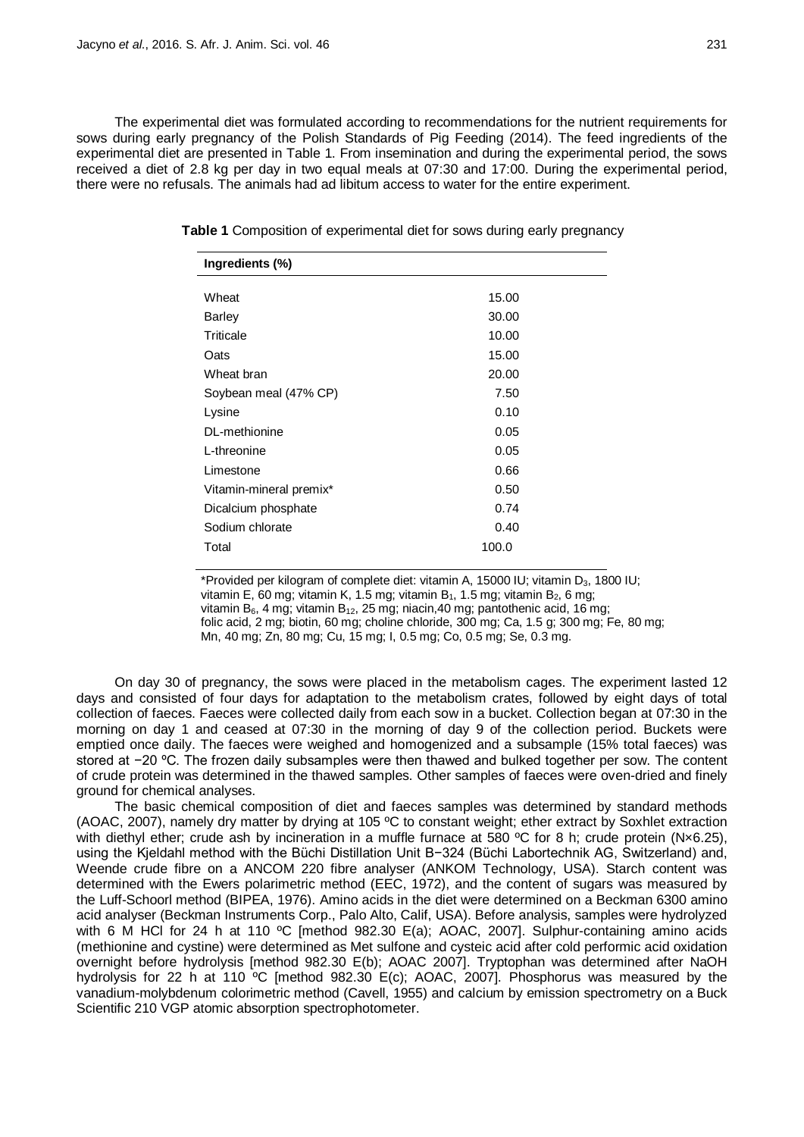The experimental diet was formulated according to recommendations for the nutrient requirements for sows during early pregnancy of the Polish Standards of Pig Feeding (2014). The feed ingredients of the experimental diet are presented in Table 1. From insemination and during the experimental period, the sows received a diet of 2.8 kg per day in two equal meals at 07:30 and 17:00. During the experimental period, there were no refusals. The animals had ad libitum access to water for the entire experiment.

| Ingredients (%)         |       |  |
|-------------------------|-------|--|
|                         |       |  |
| Wheat                   | 15.00 |  |
| <b>Barley</b>           | 30.00 |  |
| Triticale               | 10.00 |  |
| Oats                    | 15.00 |  |
| Wheat bran              | 20.00 |  |
| Soybean meal (47% CP)   | 7.50  |  |
| Lysine                  | 0.10  |  |
| DL-methionine           | 0.05  |  |
| L-threonine             | 0.05  |  |
| Limestone               | 0.66  |  |
| Vitamin-mineral premix* | 0.50  |  |
| Dicalcium phosphate     | 0.74  |  |
| Sodium chlorate         | 0.40  |  |
| Total                   | 100.0 |  |

**Table 1** Composition of experimental diet for sows during early pregnancy

\*Provided per kilogram of complete diet: vitamin A, 15000 IU; vitamin  $D_3$ , 1800 IU; vitamin E, 60 mg; vitamin K, 1.5 mg; vitamin B<sub>1</sub>, 1.5 mg; vitamin B<sub>2</sub>, 6 mg; vitamin  $B_6$ , 4 mg; vitamin  $B_{12}$ , 25 mg; niacin, 40 mg; pantothenic acid, 16 mg; folic acid, 2 mg; biotin, 60 mg; choline chloride, 300 mg; Ca, 1.5 g; 300 mg; Fe, 80 mg; Mn, 40 mg; Zn, 80 mg; Cu, 15 mg; I, 0.5 mg; Co, 0.5 mg; Se, 0.3 mg.

On day 30 of pregnancy, the sows were placed in the metabolism cages. The experiment lasted 12 days and consisted of four days for adaptation to the metabolism crates, followed by eight days of total collection of faeces. Faeces were collected daily from each sow in a bucket. Collection began at 07:30 in the morning on day 1 and ceased at 07:30 in the morning of day 9 of the collection period. Buckets were emptied once daily. The faeces were weighed and homogenized and a subsample (15% total faeces) was stored at −20 ºC. The frozen daily subsamples were then thawed and bulked together per sow. The content of crude protein was determined in the thawed samples. Other samples of faeces were oven-dried and finely ground for chemical analyses.

The basic chemical composition of diet and faeces samples was determined by standard methods (AOAC, 2007), namely dry matter by drying at 105 ºC to constant weight; ether extract by Soxhlet extraction with diethyl ether; crude ash by incineration in a muffle furnace at 580 °C for 8 h; crude protein (Nx6.25), using the Kjeldahl method with the Büchi Distillation Unit B−324 (Büchi Labortechnik AG, Switzerland) and, Weende crude fibre on a ANCOM 220 fibre analyser (ANKOM Technology, USA). Starch content was determined with the Ewers polarimetric method (EEC, 1972), and the content of sugars was measured by the Luff-Schoorl method (BIPEA, 1976). Amino acids in the diet were determined on a Beckman 6300 amino acid analyser (Beckman Instruments Corp., Palo Alto, Calif, USA). Before analysis, samples were hydrolyzed with 6 M HCl for 24 h at 110 °C [method 982.30 E(a); AOAC, 2007]. Sulphur-containing amino acids (methionine and cystine) were determined as Met sulfone and cysteic acid after cold performic acid oxidation overnight before hydrolysis [method 982.30 E(b); AOAC 2007]. Tryptophan was determined after NaOH hydrolysis for 22 h at 110 ºC [method 982.30 E(c); AOAC, 2007]. Phosphorus was measured by the vanadium-molybdenum colorimetric method (Cavell, 1955) and calcium by emission spectrometry on a Buck Scientific 210 VGP atomic absorption spectrophotometer.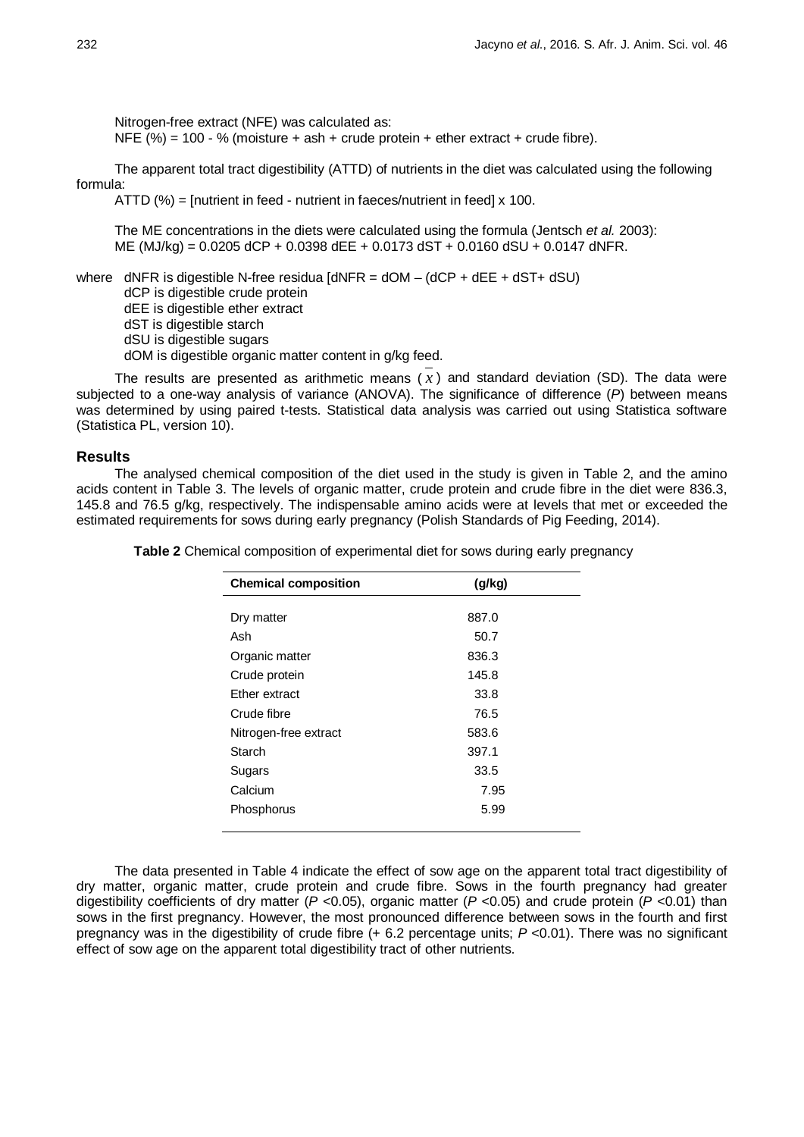Nitrogen-free extract (NFE) was calculated as:

NFE  $(%) = 100 - %$  (moisture + ash + crude protein + ether extract + crude fibre).

The apparent total tract digestibility (ATTD) of nutrients in the diet was calculated using the following formula:

ATTD (%) = [nutrient in feed - nutrient in faeces/nutrient in feed] x 100.

The ME concentrations in the diets were calculated using the formula (Jentsch *et al.* 2003): ME (MJ/kg) = 0.0205 dCP + 0.0398 dEE + 0.0173 dST + 0.0160 dSU + 0.0147 dNFR.

where  $dNFR$  is digestible N-free residua  $[dNFR = dOM - (dCP + dEF + dST + dSU)$ 

dCP is digestible crude protein

dEE is digestible ether extract

dST is digestible starch

dSU is digestible sugars

dOM is digestible organic matter content in g/kg feed.

The results are presented as arithmetic means  $(x)$  and standard deviation (SD). The data were subjected to a one-way analysis of variance (ANOVA). The significance of difference (*P*) between means was determined by using paired t-tests. Statistical data analysis was carried out using Statistica software (Statistica PL, version 10).

#### **Results**

The analysed chemical composition of the diet used in the study is given in Table 2, and the amino acids content in Table 3. The levels of organic matter, crude protein and crude fibre in the diet were 836.3, 145.8 and 76.5 g/kg, respectively. The indispensable amino acids were at levels that met or exceeded the estimated requirements for sows during early pregnancy (Polish Standards of Pig Feeding, 2014).

| <b>Chemical composition</b> | (q/kg) |  |
|-----------------------------|--------|--|
|                             |        |  |
| Dry matter                  | 887.0  |  |
| Ash                         | 50.7   |  |
| Organic matter              | 836.3  |  |
| Crude protein               | 145.8  |  |
| Ether extract               | 33.8   |  |
| Crude fibre                 | 76.5   |  |
| Nitrogen-free extract       | 583.6  |  |
| Starch                      | 397.1  |  |
| Sugars                      | 33.5   |  |
| Calcium                     | 7.95   |  |
| Phosphorus                  | 5.99   |  |
|                             |        |  |

**Table 2** Chemical composition of experimental diet for sows during early pregnancy

The data presented in Table 4 indicate the effect of sow age on the apparent total tract digestibility of dry matter, organic matter, crude protein and crude fibre. Sows in the fourth pregnancy had greater digestibility coefficients of dry matter (*P <*0.05), organic matter (*P <*0.05) and crude protein (*P <*0.01) than sows in the first pregnancy. However, the most pronounced difference between sows in the fourth and first pregnancy was in the digestibility of crude fibre (+ 6.2 percentage units; *P <*0.01). There was no significant effect of sow age on the apparent total digestibility tract of other nutrients.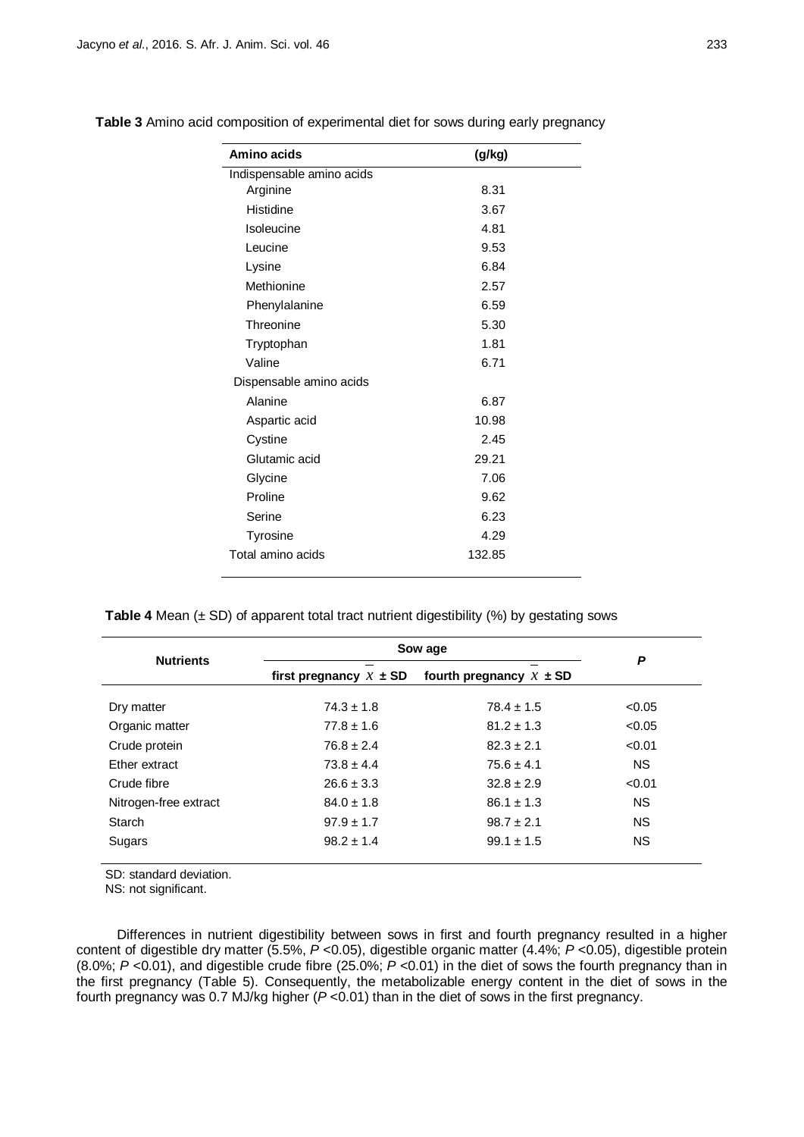| Amino acids               | (g/kg) |  |
|---------------------------|--------|--|
| Indispensable amino acids |        |  |
| Arginine                  | 8.31   |  |
| Histidine                 | 3.67   |  |
| Isoleucine                | 4.81   |  |
| Leucine                   | 9.53   |  |
| Lysine                    | 6.84   |  |
| Methionine                | 2.57   |  |
| Phenylalanine             | 6.59   |  |
| Threonine                 | 5.30   |  |
| Tryptophan                | 1.81   |  |
| Valine                    | 6.71   |  |
| Dispensable amino acids   |        |  |
| Alanine                   | 6.87   |  |
| Aspartic acid             | 10.98  |  |
| Cystine                   | 2.45   |  |
| Glutamic acid             | 29.21  |  |
| Glycine                   | 7.06   |  |
| Proline                   | 9.62   |  |
| Serine                    | 6.23   |  |
| <b>Tyrosine</b>           | 4.29   |  |
| Total amino acids         | 132.85 |  |

**Table 3** Amino acid composition of experimental diet for sows during early pregnancy

**Table 4** Mean ( $\pm$  SD) of apparent total tract nutrient digestibility (%) by gestating sows

| <b>Nutrients</b>      | Sow age                    | P                           |           |
|-----------------------|----------------------------|-----------------------------|-----------|
|                       | first pregnancy $x \pm SD$ | fourth pregnancy $x \pm SD$ |           |
| Dry matter            | $74.3 \pm 1.8$             | $78.4 \pm 1.5$              | < 0.05    |
| Organic matter        | $77.8 \pm 1.6$             | $81.2 \pm 1.3$              | < 0.05    |
| Crude protein         | $76.8 \pm 2.4$             | $82.3 \pm 2.1$              | < 0.01    |
| Ether extract         | $73.8 \pm 4.4$             | $75.6 \pm 4.1$              | <b>NS</b> |
| Crude fibre           | $26.6 \pm 3.3$             | $32.8 \pm 2.9$              | < 0.01    |
| Nitrogen-free extract | $84.0 \pm 1.8$             | $86.1 \pm 1.3$              | <b>NS</b> |
| Starch                | $97.9 \pm 1.7$             | $98.7 \pm 2.1$              | <b>NS</b> |
| Sugars                | $98.2 \pm 1.4$             | $99.1 \pm 1.5$              | NS.       |

SD: standard deviation.

NS: not significant.

Differences in nutrient digestibility between sows in first and fourth pregnancy resulted in a higher content of digestible dry matter (5.5%, *P* <0.05), digestible organic matter (4.4%; *P* <0.05), digestible protein (8.0%; *P* <0.01), and digestible crude fibre (25.0%; *P* <0.01) in the diet of sows the fourth pregnancy than in the first pregnancy (Table 5). Consequently, the metabolizable energy content in the diet of sows in the fourth pregnancy was 0.7 MJ/kg higher (*P* <0.01) than in the diet of sows in the first pregnancy.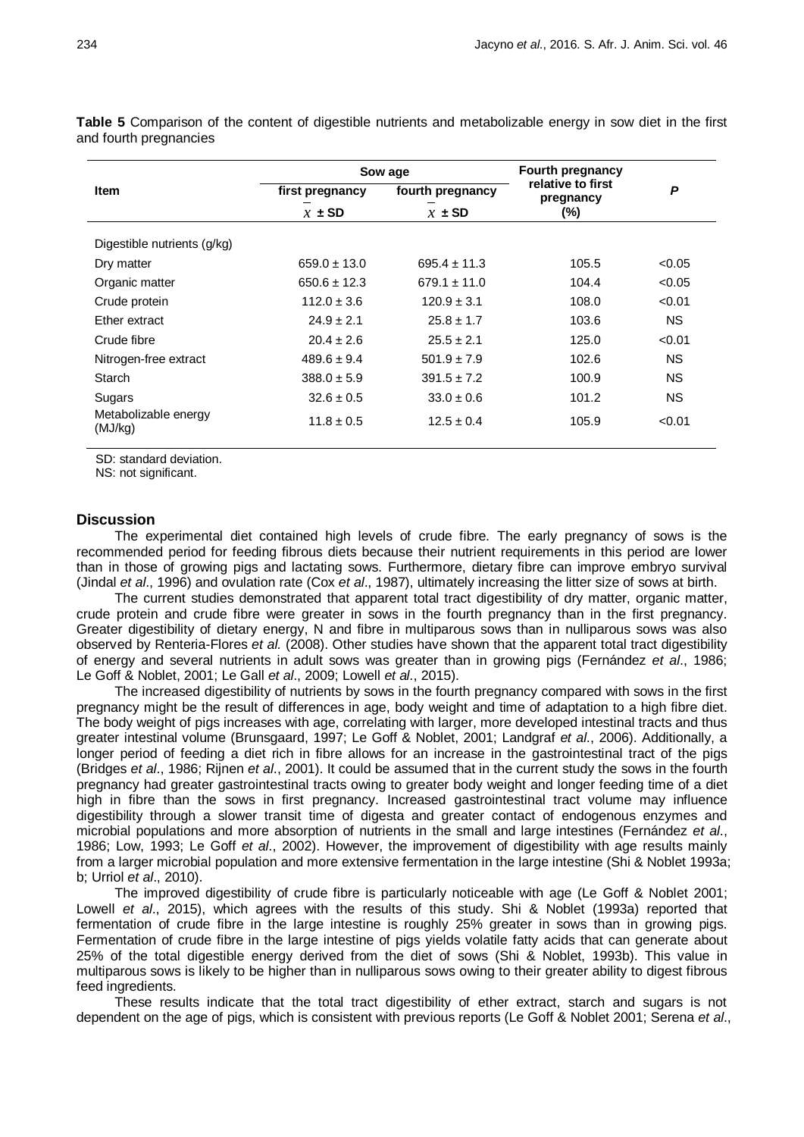|                                 | Sow age          |                  | <b>Fourth pregnancy</b>        |           |
|---------------------------------|------------------|------------------|--------------------------------|-----------|
| <b>Item</b>                     | first pregnancy  | fourth pregnancy | relative to first<br>pregnancy | P         |
|                                 | $x \pm SD$       | $x \pm SD$       | (%)                            |           |
| Digestible nutrients (g/kg)     |                  |                  |                                |           |
| Dry matter                      | $659.0 \pm 13.0$ | $695.4 \pm 11.3$ | 105.5                          | < 0.05    |
| Organic matter                  | $650.6 \pm 12.3$ | $679.1 \pm 11.0$ | 104.4                          | < 0.05    |
| Crude protein                   | $112.0 \pm 3.6$  | $120.9 \pm 3.1$  | 108.0                          | < 0.01    |
| Ether extract                   | $24.9 \pm 2.1$   | $25.8 \pm 1.7$   | 103.6                          | NS.       |
| Crude fibre                     | $20.4 \pm 2.6$   | $25.5 \pm 2.1$   | 125.0                          | < 0.01    |
| Nitrogen-free extract           | $489.6 \pm 9.4$  | $501.9 \pm 7.9$  | 102.6                          | NS.       |
| Starch                          | $388.0 \pm 5.9$  | $391.5 \pm 7.2$  | 100.9                          | <b>NS</b> |
| Sugars                          | $32.6 \pm 0.5$   | $33.0 \pm 0.6$   | 101.2                          | NS.       |
| Metabolizable energy<br>(MJ/kg) | $11.8 \pm 0.5$   | $12.5 \pm 0.4$   | 105.9                          | < 0.01    |

**Table 5** Comparison of the content of digestible nutrients and metabolizable energy in sow diet in the first and fourth pregnancies

SD: standard deviation.

NS: not significant.

#### **Discussion**

The experimental diet contained high levels of crude fibre. The early pregnancy of sows is the recommended period for feeding fibrous diets because their nutrient requirements in this period are lower than in those of growing pigs and lactating sows. Furthermore, dietary fibre can improve embryo survival (Jindal *et al*., 1996) and ovulation rate (Cox *et al*., 1987), ultimately increasing the litter size of sows at birth.

The current studies demonstrated that apparent total tract digestibility of dry matter, organic matter, crude protein and crude fibre were greater in sows in the fourth pregnancy than in the first pregnancy. Greater digestibility of dietary energy, N and fibre in multiparous sows than in nulliparous sows was also observed by Renteria-Flores *et al.* (2008). Other studies have shown that the apparent total tract digestibility of energy and several nutrients in adult sows was greater than in growing pigs (Fernández *et al*., 1986; Le Goff & Noblet, 2001; Le Gall *et al*., 2009; Lowell *et al*., 2015).

The increased digestibility of nutrients by sows in the fourth pregnancy compared with sows in the first pregnancy might be the result of differences in age, body weight and time of adaptation to a high fibre diet. The body weight of pigs increases with age, correlating with larger, more developed intestinal tracts and thus greater intestinal volume (Brunsgaard, 1997; Le Goff & Noblet, 2001; Landgraf *et al*., 2006). Additionally, a longer period of feeding a diet rich in fibre allows for an increase in the gastrointestinal tract of the pigs (Bridges *et al*., 1986; Rijnen *et al*., 2001). It could be assumed that in the current study the sows in the fourth pregnancy had greater gastrointestinal tracts owing to greater body weight and longer feeding time of a diet high in fibre than the sows in first pregnancy. Increased gastrointestinal tract volume may influence digestibility through a slower transit time of digesta and greater contact of endogenous enzymes and microbial populations and more absorption of nutrients in the small and large intestines (Fernández *et al*., 1986; Low, 1993; Le Goff *et al*., 2002). However, the improvement of digestibility with age results mainly from a larger microbial population and more extensive fermentation in the large intestine (Shi & Noblet 1993a; b; Urriol *et al*., 2010).

The improved digestibility of crude fibre is particularly noticeable with age (Le Goff & Noblet 2001; Lowell *et al*., 2015), which agrees with the results of this study. Shi & Noblet (1993a) reported that fermentation of crude fibre in the large intestine is roughly 25% greater in sows than in growing pigs. Fermentation of crude fibre in the large intestine of pigs yields volatile fatty acids that can generate about 25% of the total digestible energy derived from the diet of sows (Shi & Noblet, 1993b). This value in multiparous sows is likely to be higher than in nulliparous sows owing to their greater ability to digest fibrous feed ingredients.

These results indicate that the total tract digestibility of ether extract, starch and sugars is not dependent on the age of pigs, which is consistent with previous reports (Le Goff & Noblet 2001; Serena *et al*.,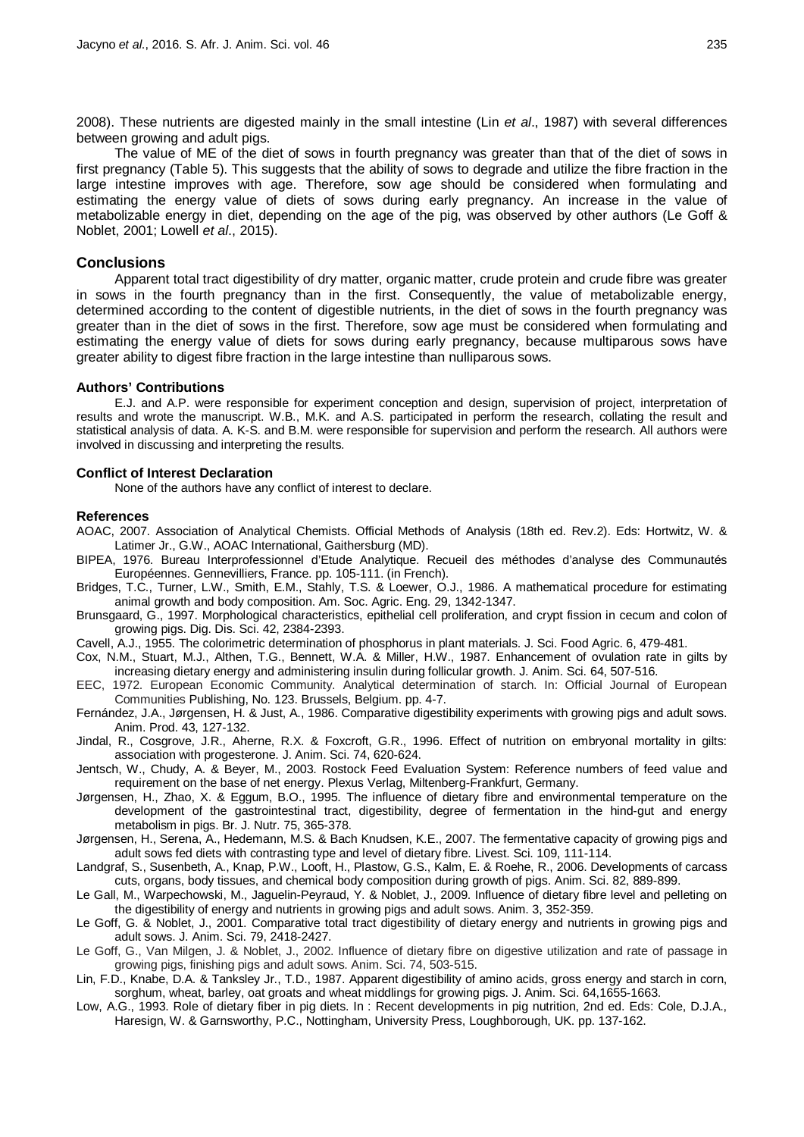2008). These nutrients are digested mainly in the small intestine (Lin *et al*., 1987) with several differences between growing and adult pigs.

The value of ME of the diet of sows in fourth pregnancy was greater than that of the diet of sows in first pregnancy (Table 5). This suggests that the ability of sows to degrade and utilize the fibre fraction in the large intestine improves with age. Therefore, sow age should be considered when formulating and estimating the energy value of diets of sows during early pregnancy. An increase in the value of metabolizable energy in diet, depending on the age of the pig, was observed by other authors (Le Goff & Noblet, 2001; Lowell *et al*., 2015).

### **Conclusions**

Apparent total tract digestibility of dry matter, organic matter, crude protein and crude fibre was greater in sows in the fourth pregnancy than in the first. Consequently, the value of metabolizable energy, determined according to the content of digestible nutrients, in the diet of sows in the fourth pregnancy was greater than in the diet of sows in the first. Therefore, sow age must be considered when formulating and estimating the energy value of diets for sows during early pregnancy, because multiparous sows have greater ability to digest fibre fraction in the large intestine than nulliparous sows.

#### **Authors' Contributions**

E.J. and A.P. were responsible for experiment conception and design, supervision of project, interpretation of results and wrote the manuscript. W.B., M.K. and A.S. participated in perform the research, collating the result and statistical analysis of data. A. K-S. and B.M. were responsible for supervision and perform the research. All authors were involved in discussing and interpreting the results.

#### **Conflict of Interest Declaration**

None of the authors have any conflict of interest to declare.

#### **References**

- AOAC, 2007. Association of Analytical Chemists. Official Methods of Analysis (18th ed. Rev.2). Eds: Hortwitz, W. & Latimer Jr., G.W., AOAC International, Gaithersburg (MD).
- BIPEA, 1976. Bureau Interprofessionnel d'Etude Analytique. Recueil des méthodes d'analyse des Communautés Européennes. Gennevilliers, France. pp. 105-111. (in French).
- Bridges, T.C., Turner, L.W., Smith, E.M., Stahly, T.S. & Loewer, O.J., 1986. A mathematical procedure for estimating animal growth and body composition. Am. Soc. Agric. Eng. 29, 1342-1347.
- Brunsgaard, G., 1997. Morphological characteristics, epithelial cell proliferation, and crypt fission in cecum and colon of growing pigs. Dig. Dis. Sci. 42, 2384-2393.
- Cavell, A.J., 1955. The colorimetric determination of phosphorus in plant materials. J. Sci. Food Agric. 6, 479-481.
- Cox, N.M., Stuart, M.J., Althen, T.G., Bennett, W.A. & Miller, H.W., 1987. Enhancement of ovulation rate in gilts by increasing dietary energy and administering insulin during follicular growth. J. Anim. Sci. 64, 507-516.
- EEC, 1972. European Economic Community. Analytical determination of starch. In: Official Journal of European Communities Publishing, No. 123. Brussels, Belgium. pp. 4-7.
- Fernández, J.A., Jørgensen, H. & Just, A., 1986. Comparative digestibility experiments with growing pigs and adult sows. Anim. Prod. 43, 127-132.
- Jindal, R., Cosgrove, J.R., Aherne, R.X. & Foxcroft, G.R., 1996. Effect of nutrition on embryonal mortality in gilts: association with progesterone. J. Anim. Sci. 74, 620-624.
- Jentsch, W., Chudy, A. & Beyer, M., 2003. Rostock Feed Evaluation System: Reference numbers of feed value and requirement on the base of net energy. Plexus Verlag, Miltenberg-Frankfurt, Germany.
- Jørgensen, H., Zhao, X. & Eggum, B.O., 1995. The influence of dietary fibre and environmental temperature on the development of the gastrointestinal tract, digestibility, degree of fermentation in the hind-gut and energy metabolism in pigs. Br. J. Nutr. 75, 365-378.
- Jørgensen, H., Serena, A., Hedemann, M.S. & Bach Knudsen, K.E., 2007. The fermentative capacity of growing pigs and adult sows fed diets with contrasting type and level of dietary fibre. Livest. Sci. 109, 111-114.
- Landgraf, S., Susenbeth, A., Knap, P.W., Looft, H., Plastow, G.S., Kalm, E. & Roehe, R., 2006. Developments of carcass cuts, organs, body tissues, and chemical body composition during growth of pigs. Anim. Sci. 82, 889-899.
- Le Gall, M., Warpechowski, M., Jaguelin-Peyraud, Y. & Noblet, J., 2009. Influence of dietary fibre level and pelleting on the digestibility of energy and nutrients in growing pigs and adult sows. Anim. 3, 352-359.
- Le Goff, G. & Noblet, J., 2001. Comparative total tract digestibility of dietary energy and nutrients in growing pigs and adult sows. J. Anim. Sci. 79, 2418-2427.
- Le Goff, G., Van Milgen, J. & Noblet, J., 2002. Influence of dietary fibre on digestive utilization and rate of passage in growing pigs, finishing pigs and adult sows. Anim. Sci. 74, 503-515.
- Lin, F.D., Knabe, D.A. & Tanksley Jr., T.D., 1987. Apparent digestibility of amino acids, gross energy and starch in corn, sorghum, wheat, barley, oat groats and wheat middlings for growing pigs. J. Anim. Sci. 64,1655-1663.
- Low, A.G., 1993. Role of dietary fiber in pig diets. In : Recent developments in pig nutrition, 2nd ed. Eds: Cole, D.J.A., Haresign, W. & Garnsworthy, P.C., Nottingham, University Press, Loughborough, UK. pp. 137-162.